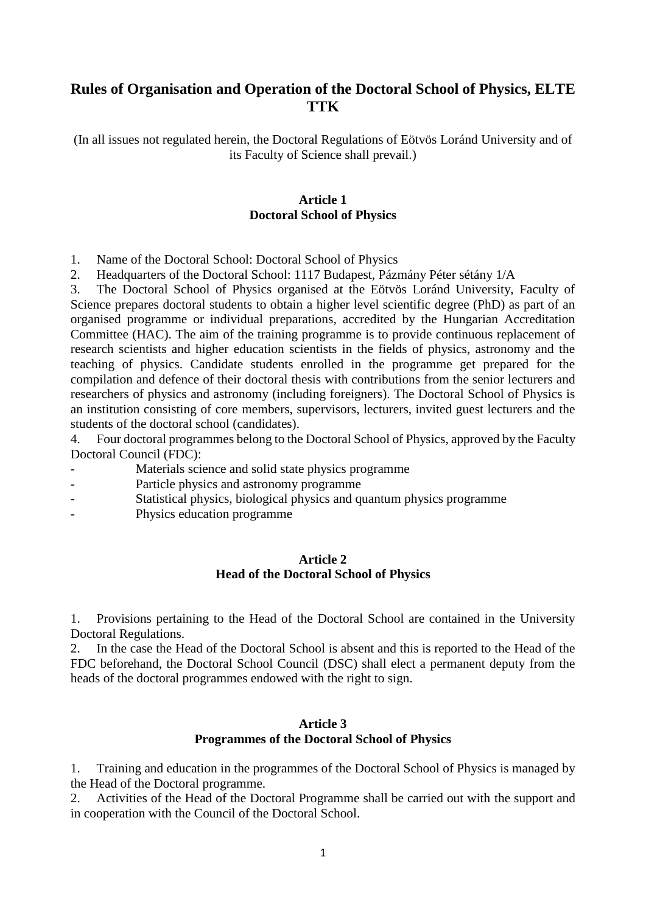# **Rules of Organisation and Operation of the Doctoral School of Physics, ELTE TTK**

(In all issues not regulated herein, the Doctoral Regulations of Eötvös Loránd University and of its Faculty of Science shall prevail.)

### **Article 1 Doctoral School of Physics**

1. Name of the Doctoral School: Doctoral School of Physics

2. Headquarters of the Doctoral School: 1117 Budapest, Pázmány Péter sétány 1/A

3. The Doctoral School of Physics organised at the Eötvös Loránd University, Faculty of Science prepares doctoral students to obtain a higher level scientific degree (PhD) as part of an organised programme or individual preparations, accredited by the Hungarian Accreditation Committee (HAC). The aim of the training programme is to provide continuous replacement of research scientists and higher education scientists in the fields of physics, astronomy and the teaching of physics. Candidate students enrolled in the programme get prepared for the compilation and defence of their doctoral thesis with contributions from the senior lecturers and researchers of physics and astronomy (including foreigners). The Doctoral School of Physics is an institution consisting of core members, supervisors, lecturers, invited guest lecturers and the students of the doctoral school (candidates).

4. Four doctoral programmes belong to the Doctoral School of Physics, approved by the Faculty Doctoral Council (FDC):

- Materials science and solid state physics programme
- Particle physics and astronomy programme
- Statistical physics, biological physics and quantum physics programme
- Physics education programme

#### **Article 2 Head of the Doctoral School of Physics**

1. Provisions pertaining to the Head of the Doctoral School are contained in the University Doctoral Regulations.

2. In the case the Head of the Doctoral School is absent and this is reported to the Head of the FDC beforehand, the Doctoral School Council (DSC) shall elect a permanent deputy from the heads of the doctoral programmes endowed with the right to sign.

#### **Article 3 Programmes of the Doctoral School of Physics**

1. Training and education in the programmes of the Doctoral School of Physics is managed by the Head of the Doctoral programme.

2. Activities of the Head of the Doctoral Programme shall be carried out with the support and in cooperation with the Council of the Doctoral School.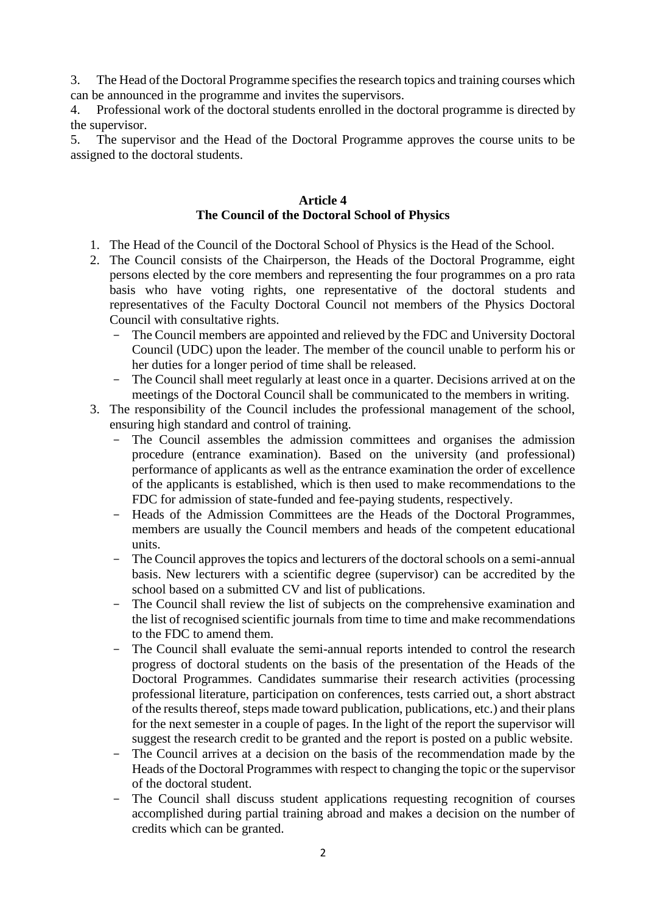3. The Head of the Doctoral Programme specifies the research topics and training courses which can be announced in the programme and invites the supervisors.

4. Professional work of the doctoral students enrolled in the doctoral programme is directed by the supervisor.

5. The supervisor and the Head of the Doctoral Programme approves the course units to be assigned to the doctoral students.

### **Article 4 The Council of the Doctoral School of Physics**

- 1. The Head of the Council of the Doctoral School of Physics is the Head of the School.
- 2. The Council consists of the Chairperson, the Heads of the Doctoral Programme, eight persons elected by the core members and representing the four programmes on a pro rata basis who have voting rights, one representative of the doctoral students and representatives of the Faculty Doctoral Council not members of the Physics Doctoral Council with consultative rights.
	- The Council members are appointed and relieved by the FDC and University Doctoral Council (UDC) upon the leader. The member of the council unable to perform his or her duties for a longer period of time shall be released.
	- The Council shall meet regularly at least once in a quarter. Decisions arrived at on the meetings of the Doctoral Council shall be communicated to the members in writing.
- 3. The responsibility of the Council includes the professional management of the school, ensuring high standard and control of training.
	- The Council assembles the admission committees and organises the admission procedure (entrance examination). Based on the university (and professional) performance of applicants as well as the entrance examination the order of excellence of the applicants is established, which is then used to make recommendations to the FDC for admission of state-funded and fee-paying students, respectively.
	- Heads of the Admission Committees are the Heads of the Doctoral Programmes, members are usually the Council members and heads of the competent educational units.
	- The Council approves the topics and lecturers of the doctoral schools on a semi-annual basis. New lecturers with a scientific degree (supervisor) can be accredited by the school based on a submitted CV and list of publications.
	- The Council shall review the list of subjects on the comprehensive examination and the list of recognised scientific journals from time to time and make recommendations to the FDC to amend them.
	- The Council shall evaluate the semi-annual reports intended to control the research progress of doctoral students on the basis of the presentation of the Heads of the Doctoral Programmes. Candidates summarise their research activities (processing professional literature, participation on conferences, tests carried out, a short abstract of the results thereof, steps made toward publication, publications, etc.) and their plans for the next semester in a couple of pages. In the light of the report the supervisor will suggest the research credit to be granted and the report is posted on a public website.
	- The Council arrives at a decision on the basis of the recommendation made by the Heads of the Doctoral Programmes with respect to changing the topic or the supervisor of the doctoral student.
	- The Council shall discuss student applications requesting recognition of courses accomplished during partial training abroad and makes a decision on the number of credits which can be granted.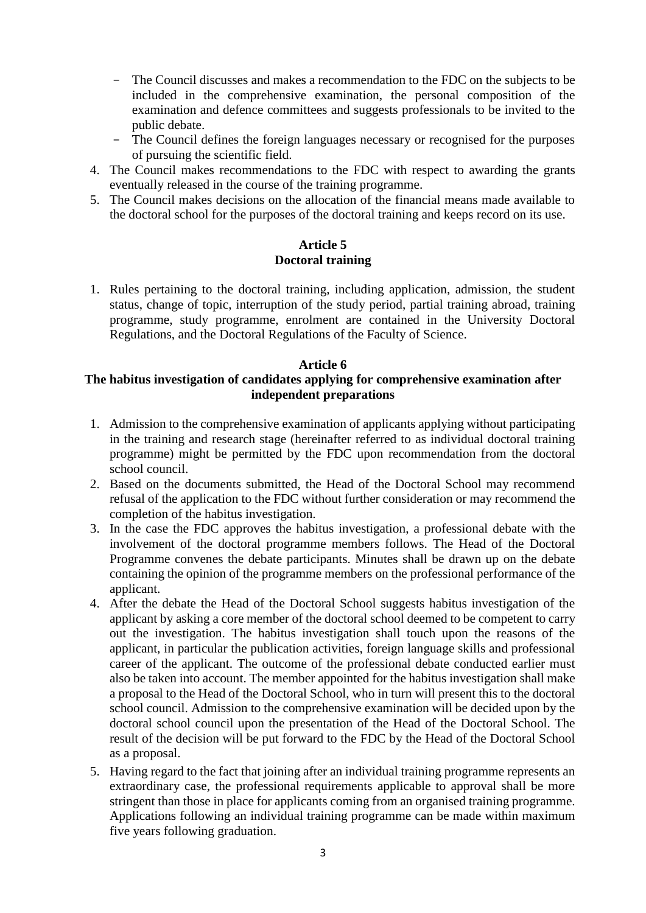- The Council discusses and makes a recommendation to the FDC on the subjects to be included in the comprehensive examination, the personal composition of the examination and defence committees and suggests professionals to be invited to the public debate.
- The Council defines the foreign languages necessary or recognised for the purposes of pursuing the scientific field.
- 4. The Council makes recommendations to the FDC with respect to awarding the grants eventually released in the course of the training programme.
- 5. The Council makes decisions on the allocation of the financial means made available to the doctoral school for the purposes of the doctoral training and keeps record on its use.

### **Article 5 Doctoral training**

1. Rules pertaining to the doctoral training, including application, admission, the student status, change of topic, interruption of the study period, partial training abroad, training programme, study programme, enrolment are contained in the University Doctoral Regulations, and the Doctoral Regulations of the Faculty of Science.

### **Article 6 The habitus investigation of candidates applying for comprehensive examination after independent preparations**

- 1. Admission to the comprehensive examination of applicants applying without participating in the training and research stage (hereinafter referred to as individual doctoral training programme) might be permitted by the FDC upon recommendation from the doctoral school council.
- 2. Based on the documents submitted, the Head of the Doctoral School may recommend refusal of the application to the FDC without further consideration or may recommend the completion of the habitus investigation.
- 3. In the case the FDC approves the habitus investigation, a professional debate with the involvement of the doctoral programme members follows. The Head of the Doctoral Programme convenes the debate participants. Minutes shall be drawn up on the debate containing the opinion of the programme members on the professional performance of the applicant.
- 4. After the debate the Head of the Doctoral School suggests habitus investigation of the applicant by asking a core member of the doctoral school deemed to be competent to carry out the investigation. The habitus investigation shall touch upon the reasons of the applicant, in particular the publication activities, foreign language skills and professional career of the applicant. The outcome of the professional debate conducted earlier must also be taken into account. The member appointed for the habitus investigation shall make a proposal to the Head of the Doctoral School, who in turn will present this to the doctoral school council. Admission to the comprehensive examination will be decided upon by the doctoral school council upon the presentation of the Head of the Doctoral School. The result of the decision will be put forward to the FDC by the Head of the Doctoral School as a proposal.
- 5. Having regard to the fact that joining after an individual training programme represents an extraordinary case, the professional requirements applicable to approval shall be more stringent than those in place for applicants coming from an organised training programme. Applications following an individual training programme can be made within maximum five years following graduation.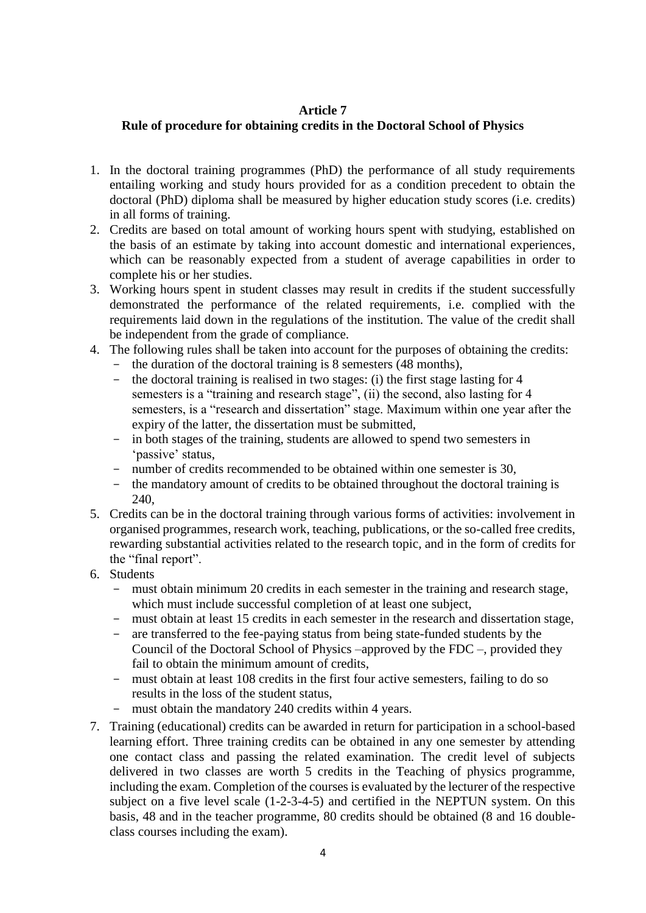### **Article 7**

# **Rule of procedure for obtaining credits in the Doctoral School of Physics**

- 1. In the doctoral training programmes (PhD) the performance of all study requirements entailing working and study hours provided for as a condition precedent to obtain the doctoral (PhD) diploma shall be measured by higher education study scores (i.e. credits) in all forms of training.
- 2. Credits are based on total amount of working hours spent with studying, established on the basis of an estimate by taking into account domestic and international experiences, which can be reasonably expected from a student of average capabilities in order to complete his or her studies.
- 3. Working hours spent in student classes may result in credits if the student successfully demonstrated the performance of the related requirements, i.e. complied with the requirements laid down in the regulations of the institution. The value of the credit shall be independent from the grade of compliance.
- 4. The following rules shall be taken into account for the purposes of obtaining the credits:
	- the duration of the doctoral training is 8 semesters (48 months),
	- the doctoral training is realised in two stages: (i) the first stage lasting for 4 semesters is a "training and research stage", (ii) the second, also lasting for 4 semesters, is a "research and dissertation" stage. Maximum within one year after the expiry of the latter, the dissertation must be submitted,
	- in both stages of the training, students are allowed to spend two semesters in 'passive' status,
	- number of credits recommended to be obtained within one semester is 30,
	- the mandatory amount of credits to be obtained throughout the doctoral training is 240,
- 5. Credits can be in the doctoral training through various forms of activities: involvement in organised programmes, research work, teaching, publications, or the so-called free credits, rewarding substantial activities related to the research topic, and in the form of credits for the "final report".
- 6. Students
	- must obtain minimum 20 credits in each semester in the training and research stage, which must include successful completion of at least one subject,
	- must obtain at least 15 credits in each semester in the research and dissertation stage,
	- are transferred to the fee-paying status from being state-funded students by the Council of the Doctoral School of Physics –approved by the FDC –, provided they fail to obtain the minimum amount of credits,
	- must obtain at least 108 credits in the first four active semesters, failing to do so results in the loss of the student status,
	- must obtain the mandatory 240 credits within 4 years.
- 7. Training (educational) credits can be awarded in return for participation in a school-based learning effort. Three training credits can be obtained in any one semester by attending one contact class and passing the related examination. The credit level of subjects delivered in two classes are worth 5 credits in the Teaching of physics programme, including the exam. Completion of the courses is evaluated by the lecturer of the respective subject on a five level scale (1-2-3-4-5) and certified in the NEPTUN system. On this basis, 48 and in the teacher programme, 80 credits should be obtained (8 and 16 doubleclass courses including the exam).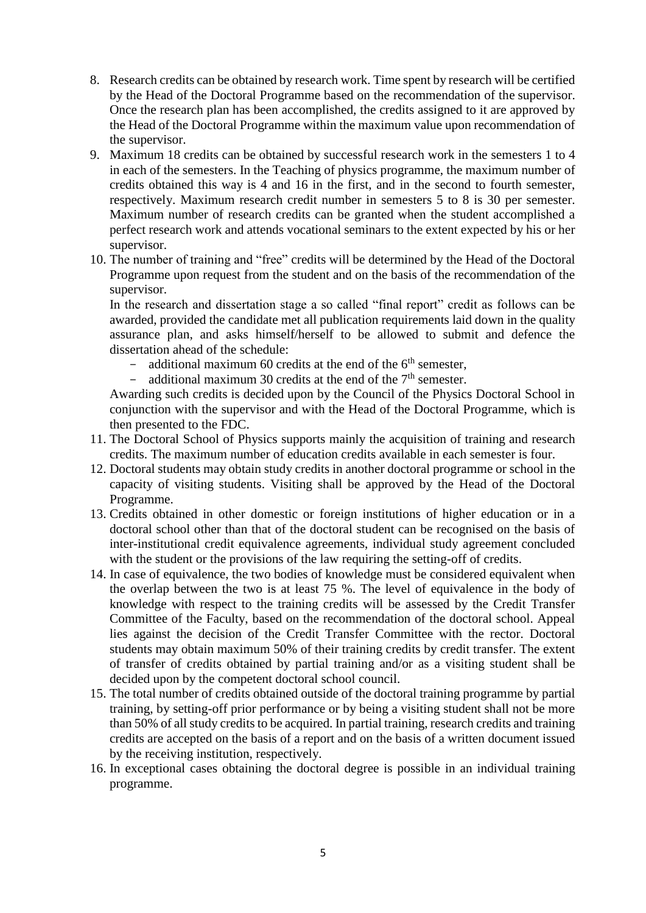- 8. Research credits can be obtained by research work. Time spent by research will be certified by the Head of the Doctoral Programme based on the recommendation of the supervisor. Once the research plan has been accomplished, the credits assigned to it are approved by the Head of the Doctoral Programme within the maximum value upon recommendation of the supervisor.
- 9. Maximum 18 credits can be obtained by successful research work in the semesters 1 to 4 in each of the semesters. In the Teaching of physics programme, the maximum number of credits obtained this way is 4 and 16 in the first, and in the second to fourth semester, respectively. Maximum research credit number in semesters 5 to 8 is 30 per semester. Maximum number of research credits can be granted when the student accomplished a perfect research work and attends vocational seminars to the extent expected by his or her supervisor.
- 10. The number of training and "free" credits will be determined by the Head of the Doctoral Programme upon request from the student and on the basis of the recommendation of the supervisor.

In the research and dissertation stage a so called "final report" credit as follows can be awarded, provided the candidate met all publication requirements laid down in the quality assurance plan, and asks himself/herself to be allowed to submit and defence the dissertation ahead of the schedule:

- additional maximum 60 credits at the end of the  $6<sup>th</sup>$  semester,
- additional maximum 30 credits at the end of the  $7<sup>th</sup>$  semester.

Awarding such credits is decided upon by the Council of the Physics Doctoral School in conjunction with the supervisor and with the Head of the Doctoral Programme, which is then presented to the FDC.

- 11. The Doctoral School of Physics supports mainly the acquisition of training and research credits. The maximum number of education credits available in each semester is four.
- 12. Doctoral students may obtain study credits in another doctoral programme or school in the capacity of visiting students. Visiting shall be approved by the Head of the Doctoral Programme.
- 13. Credits obtained in other domestic or foreign institutions of higher education or in a doctoral school other than that of the doctoral student can be recognised on the basis of inter-institutional credit equivalence agreements, individual study agreement concluded with the student or the provisions of the law requiring the setting-off of credits.
- 14. In case of equivalence, the two bodies of knowledge must be considered equivalent when the overlap between the two is at least 75 %. The level of equivalence in the body of knowledge with respect to the training credits will be assessed by the Credit Transfer Committee of the Faculty, based on the recommendation of the doctoral school. Appeal lies against the decision of the Credit Transfer Committee with the rector. Doctoral students may obtain maximum 50% of their training credits by credit transfer. The extent of transfer of credits obtained by partial training and/or as a visiting student shall be decided upon by the competent doctoral school council.
- 15. The total number of credits obtained outside of the doctoral training programme by partial training, by setting-off prior performance or by being a visiting student shall not be more than 50% of all study credits to be acquired. In partial training, research credits and training credits are accepted on the basis of a report and on the basis of a written document issued by the receiving institution, respectively.
- 16. In exceptional cases obtaining the doctoral degree is possible in an individual training programme.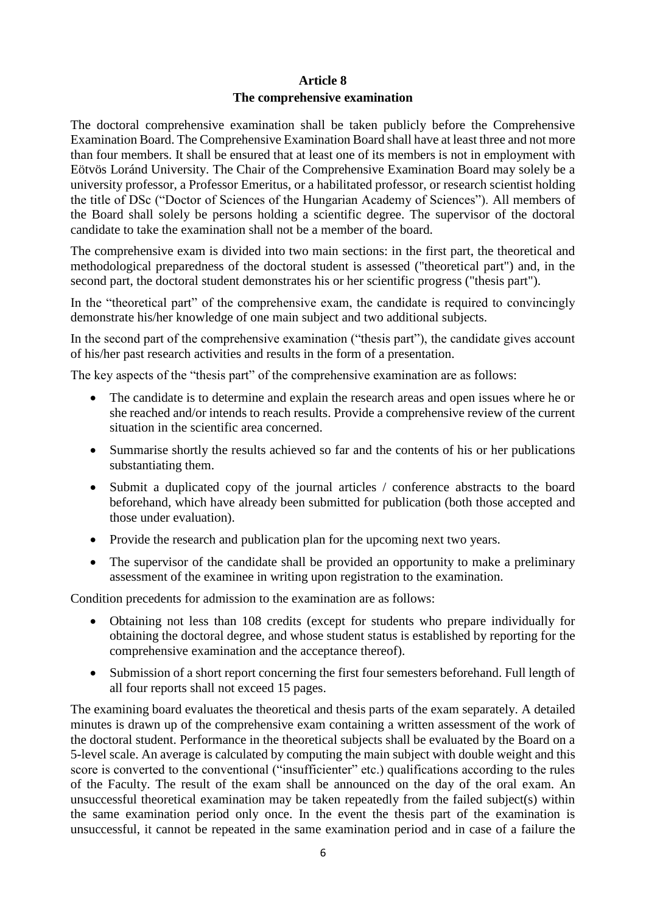# **Article 8 The comprehensive examination**

The doctoral comprehensive examination shall be taken publicly before the Comprehensive Examination Board. The Comprehensive Examination Board shall have at least three and not more than four members. It shall be ensured that at least one of its members is not in employment with Eötvös Loránd University. The Chair of the Comprehensive Examination Board may solely be a university professor, a Professor Emeritus, or a habilitated professor, or research scientist holding the title of DSc ("Doctor of Sciences of the Hungarian Academy of Sciences"). All members of the Board shall solely be persons holding a scientific degree. The supervisor of the doctoral candidate to take the examination shall not be a member of the board.

The comprehensive exam is divided into two main sections: in the first part, the theoretical and methodological preparedness of the doctoral student is assessed ("theoretical part") and, in the second part, the doctoral student demonstrates his or her scientific progress ("thesis part").

In the "theoretical part" of the comprehensive exam, the candidate is required to convincingly demonstrate his/her knowledge of one main subject and two additional subjects.

In the second part of the comprehensive examination ("thesis part"), the candidate gives account of his/her past research activities and results in the form of a presentation.

The key aspects of the "thesis part" of the comprehensive examination are as follows:

- The candidate is to determine and explain the research areas and open issues where he or she reached and/or intends to reach results. Provide a comprehensive review of the current situation in the scientific area concerned.
- Summarise shortly the results achieved so far and the contents of his or her publications substantiating them.
- Submit a duplicated copy of the journal articles / conference abstracts to the board beforehand, which have already been submitted for publication (both those accepted and those under evaluation).
- Provide the research and publication plan for the upcoming next two years.
- The supervisor of the candidate shall be provided an opportunity to make a preliminary assessment of the examinee in writing upon registration to the examination.

Condition precedents for admission to the examination are as follows:

- Obtaining not less than 108 credits (except for students who prepare individually for obtaining the doctoral degree, and whose student status is established by reporting for the comprehensive examination and the acceptance thereof).
- Submission of a short report concerning the first four semesters beforehand. Full length of all four reports shall not exceed 15 pages.

The examining board evaluates the theoretical and thesis parts of the exam separately. A detailed minutes is drawn up of the comprehensive exam containing a written assessment of the work of the doctoral student. Performance in the theoretical subjects shall be evaluated by the Board on a 5-level scale. An average is calculated by computing the main subject with double weight and this score is converted to the conventional ("insufficienter" etc.) qualifications according to the rules of the Faculty. The result of the exam shall be announced on the day of the oral exam. An unsuccessful theoretical examination may be taken repeatedly from the failed subject(s) within the same examination period only once. In the event the thesis part of the examination is unsuccessful, it cannot be repeated in the same examination period and in case of a failure the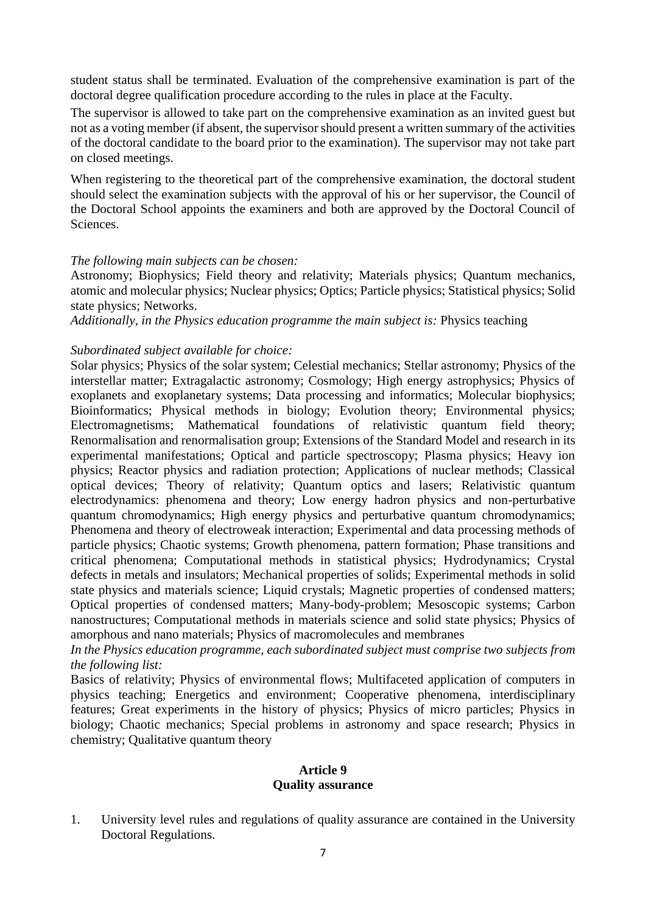student status shall be terminated. Evaluation of the comprehensive examination is part of the doctoral degree qualification procedure according to the rules in place at the Faculty.

The supervisor is allowed to take part on the comprehensive examination as an invited guest but not as a voting member (if absent, the supervisor should present a written summary of the activities of the doctoral candidate to the board prior to the examination). The supervisor may not take part on closed meetings.

When registering to the theoretical part of the comprehensive examination, the doctoral student should select the examination subjects with the approval of his or her supervisor, the Council of the Doctoral School appoints the examiners and both are approved by the Doctoral Council of Sciences.

#### *The following main subjects can be chosen:*

Astronomy; Biophysics; Field theory and relativity; Materials physics; Quantum mechanics, atomic and molecular physics; Nuclear physics; Optics; Particle physics; Statistical physics; Solid state physics; Networks.

*Additionally, in the Physics education programme the main subject is:* Physics teaching

#### *Subordinated subject available for choice:*

Solar physics; Physics of the solar system; Celestial mechanics; Stellar astronomy; Physics of the interstellar matter; Extragalactic astronomy; Cosmology; High energy astrophysics; Physics of exoplanets and exoplanetary systems; Data processing and informatics; Molecular biophysics; Bioinformatics; Physical methods in biology; Evolution theory; Environmental physics; Electromagnetisms; Mathematical foundations of relativistic quantum field theory; Renormalisation and renormalisation group; Extensions of the Standard Model and research in its experimental manifestations; Optical and particle spectroscopy; Plasma physics; Heavy ion physics; Reactor physics and radiation protection; Applications of nuclear methods; Classical optical devices; Theory of relativity; Quantum optics and lasers; Relativistic quantum electrodynamics: phenomena and theory; Low energy hadron physics and non-perturbative quantum chromodynamics; High energy physics and perturbative quantum chromodynamics; Phenomena and theory of electroweak interaction; Experimental and data processing methods of particle physics; Chaotic systems; Growth phenomena, pattern formation; Phase transitions and critical phenomena; Computational methods in statistical physics; Hydrodynamics; Crystal defects in metals and insulators; Mechanical properties of solids; Experimental methods in solid state physics and materials science; Liquid crystals; Magnetic properties of condensed matters; Optical properties of condensed matters; Many-body-problem; Mesoscopic systems; Carbon nanostructures; Computational methods in materials science and solid state physics; Physics of amorphous and nano materials; Physics of macromolecules and membranes

*In the Physics education programme, each subordinated subject must comprise two subjects from the following list:*

Basics of relativity; Physics of environmental flows; Multifaceted application of computers in physics teaching; Energetics and environment; Cooperative phenomena, interdisciplinary features; Great experiments in the history of physics; Physics of micro particles; Physics in biology; Chaotic mechanics; Special problems in astronomy and space research; Physics in chemistry; Qualitative quantum theory

#### **Article 9 Quality assurance**

1. University level rules and regulations of quality assurance are contained in the University Doctoral Regulations.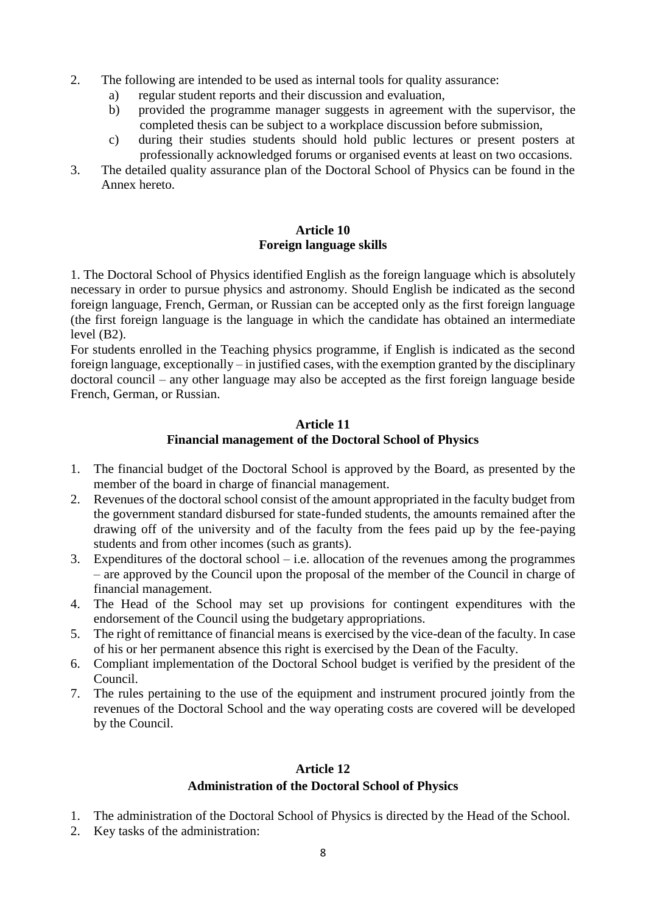- 2. The following are intended to be used as internal tools for quality assurance:
	- a) regular student reports and their discussion and evaluation,
	- b) provided the programme manager suggests in agreement with the supervisor, the completed thesis can be subject to a workplace discussion before submission,
	- c) during their studies students should hold public lectures or present posters at professionally acknowledged forums or organised events at least on two occasions.
- 3. The detailed quality assurance plan of the Doctoral School of Physics can be found in the Annex hereto.

## **Article 10 Foreign language skills**

1. The Doctoral School of Physics identified English as the foreign language which is absolutely necessary in order to pursue physics and astronomy. Should English be indicated as the second foreign language, French, German, or Russian can be accepted only as the first foreign language (the first foreign language is the language in which the candidate has obtained an intermediate level (B2).

For students enrolled in the Teaching physics programme, if English is indicated as the second foreign language, exceptionally – in justified cases, with the exemption granted by the disciplinary doctoral council – any other language may also be accepted as the first foreign language beside French, German, or Russian.

### **Article 11 Financial management of the Doctoral School of Physics**

- 1. The financial budget of the Doctoral School is approved by the Board, as presented by the member of the board in charge of financial management.
- 2. Revenues of the doctoral school consist of the amount appropriated in the faculty budget from the government standard disbursed for state-funded students, the amounts remained after the drawing off of the university and of the faculty from the fees paid up by the fee-paying students and from other incomes (such as grants).
- 3. Expenditures of the doctoral school i.e. allocation of the revenues among the programmes – are approved by the Council upon the proposal of the member of the Council in charge of financial management.
- 4. The Head of the School may set up provisions for contingent expenditures with the endorsement of the Council using the budgetary appropriations.
- 5. The right of remittance of financial means is exercised by the vice-dean of the faculty. In case of his or her permanent absence this right is exercised by the Dean of the Faculty.
- 6. Compliant implementation of the Doctoral School budget is verified by the president of the Council.
- 7. The rules pertaining to the use of the equipment and instrument procured jointly from the revenues of the Doctoral School and the way operating costs are covered will be developed by the Council.

### **Article 12**

### **Administration of the Doctoral School of Physics**

- 1. The administration of the Doctoral School of Physics is directed by the Head of the School.
- 2. Key tasks of the administration: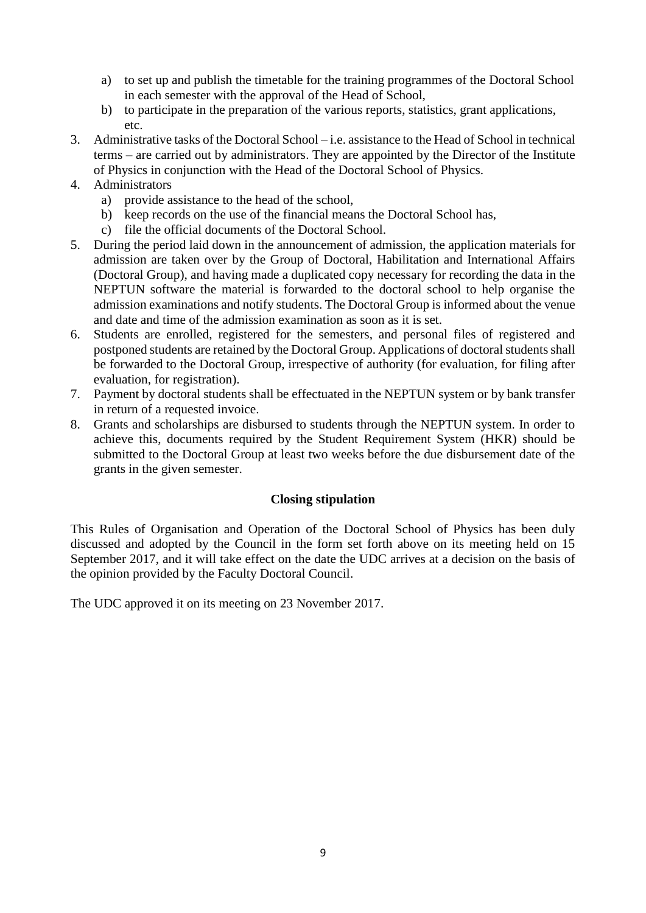- a) to set up and publish the timetable for the training programmes of the Doctoral School in each semester with the approval of the Head of School,
- b) to participate in the preparation of the various reports, statistics, grant applications, etc.
- 3. Administrative tasks of the Doctoral School i.e. assistance to the Head of School in technical terms – are carried out by administrators. They are appointed by the Director of the Institute of Physics in conjunction with the Head of the Doctoral School of Physics.
- 4. Administrators
	- a) provide assistance to the head of the school,
	- b) keep records on the use of the financial means the Doctoral School has,
	- c) file the official documents of the Doctoral School.
- 5. During the period laid down in the announcement of admission, the application materials for admission are taken over by the Group of Doctoral, Habilitation and International Affairs (Doctoral Group), and having made a duplicated copy necessary for recording the data in the NEPTUN software the material is forwarded to the doctoral school to help organise the admission examinations and notify students. The Doctoral Group is informed about the venue and date and time of the admission examination as soon as it is set.
- 6. Students are enrolled, registered for the semesters, and personal files of registered and postponed students are retained by the Doctoral Group. Applications of doctoral students shall be forwarded to the Doctoral Group, irrespective of authority (for evaluation, for filing after evaluation, for registration).
- 7. Payment by doctoral students shall be effectuated in the NEPTUN system or by bank transfer in return of a requested invoice.
- 8. Grants and scholarships are disbursed to students through the NEPTUN system. In order to achieve this, documents required by the Student Requirement System (HKR) should be submitted to the Doctoral Group at least two weeks before the due disbursement date of the grants in the given semester.

#### **Closing stipulation**

This Rules of Organisation and Operation of the Doctoral School of Physics has been duly discussed and adopted by the Council in the form set forth above on its meeting held on 15 September 2017, and it will take effect on the date the UDC arrives at a decision on the basis of the opinion provided by the Faculty Doctoral Council.

The UDC approved it on its meeting on 23 November 2017.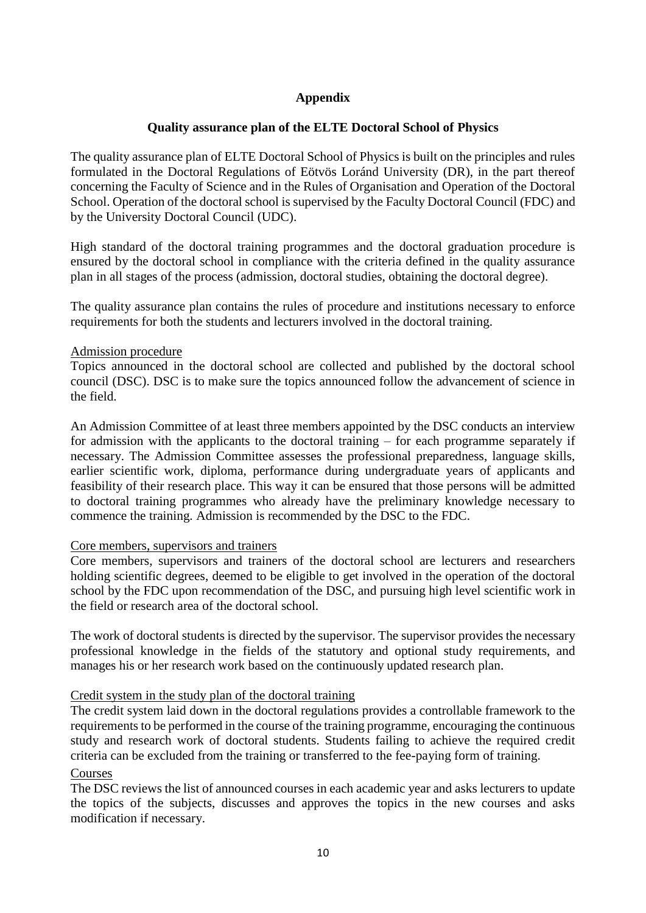# **Appendix**

## **Quality assurance plan of the ELTE Doctoral School of Physics**

The quality assurance plan of ELTE Doctoral School of Physics is built on the principles and rules formulated in the Doctoral Regulations of Eötvös Loránd University (DR), in the part thereof concerning the Faculty of Science and in the Rules of Organisation and Operation of the Doctoral School. Operation of the doctoral school is supervised by the Faculty Doctoral Council (FDC) and by the University Doctoral Council (UDC).

High standard of the doctoral training programmes and the doctoral graduation procedure is ensured by the doctoral school in compliance with the criteria defined in the quality assurance plan in all stages of the process (admission, doctoral studies, obtaining the doctoral degree).

The quality assurance plan contains the rules of procedure and institutions necessary to enforce requirements for both the students and lecturers involved in the doctoral training.

#### Admission procedure

Topics announced in the doctoral school are collected and published by the doctoral school council (DSC). DSC is to make sure the topics announced follow the advancement of science in the field.

An Admission Committee of at least three members appointed by the DSC conducts an interview for admission with the applicants to the doctoral training – for each programme separately if necessary. The Admission Committee assesses the professional preparedness, language skills, earlier scientific work, diploma, performance during undergraduate years of applicants and feasibility of their research place. This way it can be ensured that those persons will be admitted to doctoral training programmes who already have the preliminary knowledge necessary to commence the training. Admission is recommended by the DSC to the FDC.

#### Core members, supervisors and trainers

Core members, supervisors and trainers of the doctoral school are lecturers and researchers holding scientific degrees, deemed to be eligible to get involved in the operation of the doctoral school by the FDC upon recommendation of the DSC, and pursuing high level scientific work in the field or research area of the doctoral school.

The work of doctoral students is directed by the supervisor. The supervisor provides the necessary professional knowledge in the fields of the statutory and optional study requirements, and manages his or her research work based on the continuously updated research plan.

#### Credit system in the study plan of the doctoral training

The credit system laid down in the doctoral regulations provides a controllable framework to the requirements to be performed in the course of the training programme, encouraging the continuous study and research work of doctoral students. Students failing to achieve the required credit criteria can be excluded from the training or transferred to the fee-paying form of training.

#### Courses

The DSC reviews the list of announced courses in each academic year and asks lecturers to update the topics of the subjects, discusses and approves the topics in the new courses and asks modification if necessary.